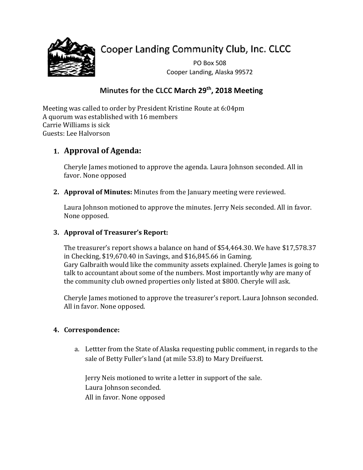

# Cooper Landing Community Club, Inc. CLCC

PO Box 508 Cooper Landing, Alaska 99572

# **Minutes for the CLCC March 29th, 2018 Meeting**

Meeting was called to order by President Kristine Route at 6:04pm A quorum was established with 16 members Carrie Williams is sick Guests: Lee Halvorson

## **1. Approval of Agenda:**

Cheryle James motioned to approve the agenda. Laura Johnson seconded. All in favor. None opposed

**2. Approval of Minutes:** Minutes from the January meeting were reviewed.

Laura Johnson motioned to approve the minutes. Jerry Neis seconded. All in favor. None opposed.

### **3. Approval of Treasurer's Report:**

The treasurer's report shows a balance on hand of \$54,464.30. We have \$17,578.37 in Checking, \$19,670.40 in Savings, and \$16,845.66 in Gaming. Gary Galbraith would like the community assets explained. Cheryle James is going to talk to accountant about some of the numbers. Most importantly why are many of the community club owned properties only listed at \$800. Cheryle will ask.

Cheryle James motioned to approve the treasurer's report. Laura Johnson seconded. All in favor. None opposed.

## **4. Correspondence:**

a. Lettter from the State of Alaska requesting public comment, in regards to the sale of Betty Fuller's land (at mile 53.8) to Mary Dreifuerst.

Jerry Neis motioned to write a letter in support of the sale. Laura Johnson seconded. All in favor. None opposed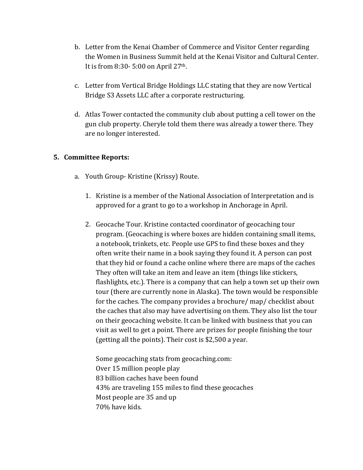- b. Letter from the Kenai Chamber of Commerce and Visitor Center regarding the Women in Business Summit held at the Kenai Visitor and Cultural Center. It is from 8:30- 5:00 on April 27th.
- c. Letter from Vertical Bridge Holdings LLC stating that they are now Vertical Bridge S3 Assets LLC after a corporate restructuring.
- d. Atlas Tower contacted the community club about putting a cell tower on the gun club property. Cheryle told them there was already a tower there. They are no longer interested.

#### **5. Committee Reports:**

- a. Youth Group- Kristine (Krissy) Route.
	- 1. Kristine is a member of the National Association of Interpretation and is approved for a grant to go to a workshop in Anchorage in April.
	- 2. Geocache Tour. Kristine contacted coordinator of geocaching tour program. (Geocaching is where boxes are hidden containing small items, a notebook, trinkets, etc. People use GPS to find these boxes and they often write their name in a book saying they found it. A person can post that they hid or found a cache online where there are maps of the caches They often will take an item and leave an item (things like stickers, flashlights, etc.). There is a company that can help a town set up their own tour (there are currently none in Alaska). The town would be responsible for the caches. The company provides a brochure/ map/ checklist about the caches that also may have advertising on them. They also list the tour on their geocaching website. It can be linked with business that you can visit as well to get a point. There are prizes for people finishing the tour (getting all the points). Their cost is \$2,500 a year.

Some geocaching stats from geocaching.com: Over 15 million people play 83 billion caches have been found 43% are traveling 155 miles to find these geocaches Most people are 35 and up 70% have kids.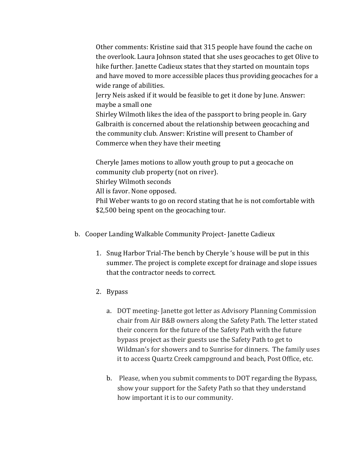Other comments: Kristine said that 315 people have found the cache on the overlook. Laura Johnson stated that she uses geocaches to get Olive to hike further. Janette Cadieux states that they started on mountain tops and have moved to more accessible places thus providing geocaches for a wide range of abilities.

Jerry Neis asked if it would be feasible to get it done by June. Answer: maybe a small one

Shirley Wilmoth likes the idea of the passport to bring people in. Gary Galbraith is concerned about the relationship between geocaching and the community club. Answer: Kristine will present to Chamber of Commerce when they have their meeting

Cheryle James motions to allow youth group to put a geocache on community club property (not on river). Shirley Wilmoth seconds All is favor. None opposed. Phil Weber wants to go on record stating that he is not comfortable with \$2,500 being spent on the geocaching tour.

- b. Cooper Landing Walkable Community Project- Janette Cadieux
	- 1. Snug Harbor Trial-The bench by Cheryle 's house will be put in this summer. The project is complete except for drainage and slope issues that the contractor needs to correct.
	- 2. Bypass
		- a. DOT meeting- Janette got letter as Advisory Planning Commission chair from Air B&B owners along the Safety Path. The letter stated their concern for the future of the Safety Path with the future bypass project as their guests use the Safety Path to get to Wildman's for showers and to Sunrise for dinners. The family uses it to access Quartz Creek campground and beach, Post Office, etc.
		- b. Please, when you submit comments to DOT regarding the Bypass, show your support for the Safety Path so that they understand how important it is to our community.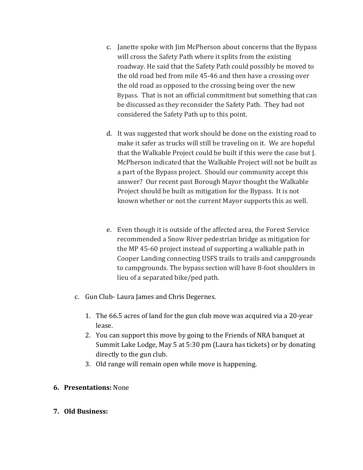- c. Janette spoke with Jim McPherson about concerns that the Bypass will cross the Safety Path where it splits from the existing roadway. He said that the Safety Path could possibly be moved to the old road bed from mile 45-46 and then have a crossing over the old road as opposed to the crossing being over the new Bypass. That is not an official commitment but something that can be discussed as they reconsider the Safety Path. They had not considered the Safety Path up to this point.
- d. It was suggested that work should be done on the existing road to make it safer as trucks will still be traveling on it. We are hopeful that the Walkable Project could be built if this were the case but J. McPherson indicated that the Walkable Project will not be built as a part of the Bypass project. Should our community accept this answer? Our recent past Borough Mayor thought the Walkable Project should be built as mitigation for the Bypass. It is not known whether or not the current Mayor supports this as well.
- e. Even though it is outside of the affected area, the Forest Service recommended a Snow River pedestrian bridge as mitigation for the MP 45-60 project instead of supporting a walkable path in Cooper Landing connecting USFS trails to trails and campgrounds to campgrounds. The bypass section will have 8-foot shoulders in lieu of a separated bike/ped path.
- c. Gun Club- Laura James and Chris Degernes.
	- 1. The 66.5 acres of land for the gun club move was acquired via a 20-year lease.
	- 2. You can support this move by going to the Friends of NRA banquet at Summit Lake Lodge, May 5 at 5:30 pm (Laura has tickets) or by donating directly to the gun club.
	- 3. Old range will remain open while move is happening.
- **6. Presentations:** None
- **7. Old Business:**